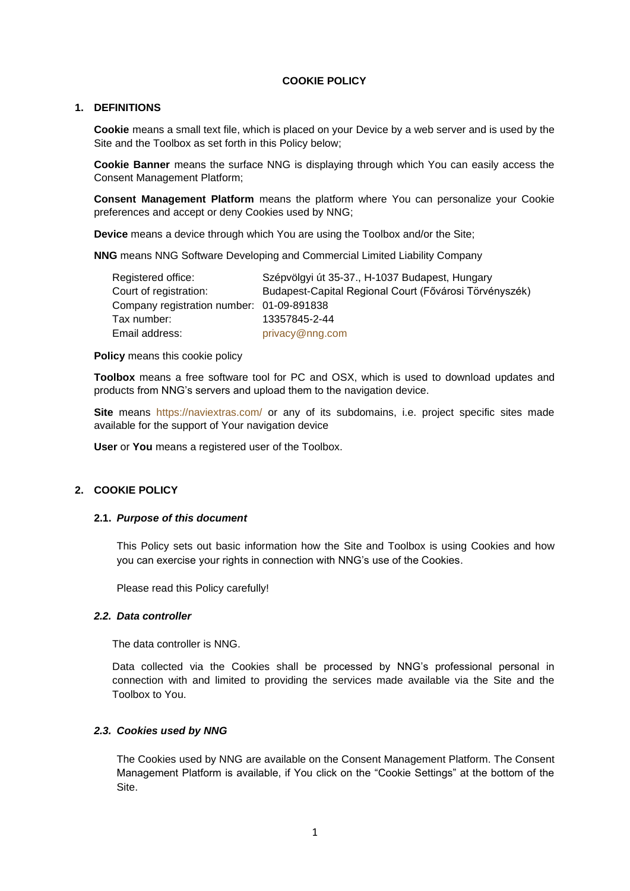### **COOKIE POLICY**

# **1. DEFINITIONS**

<span id="page-0-0"></span>**Cookie** means a small text file, which is placed on your Device by a web server and is used by the Site and the Toolbox as set forth in this Policy below;

**Cookie Banner** means the surface NNG is displaying through which You can easily access the Consent Management Platform;

**Consent Management Platform** means the platform where You can personalize your Cookie preferences and accept or deny Cookies used by NNG;

**Device** means a device through which You are using the Toolbox and/or the Site;

**NNG** means NNG Software Developing and Commercial Limited Liability Company

| Registered office:                        | Szépvölgyi út 35-37., H-1037 Budapest, Hungary         |
|-------------------------------------------|--------------------------------------------------------|
| Court of registration:                    | Budapest-Capital Regional Court (Fővárosi Törvényszék) |
| Company registration number: 01-09-891838 |                                                        |
| Tax number:                               | 13357845-2-44                                          |
| Email address:                            | privacy@nng.com                                        |

**Policy** means this cookie policy

**Toolbox** means a free software tool for PC and OSX, which is used to download updates and products from NNG's servers and upload them to the navigation device.

**Site** means <https://naviextras.com/> or any of its subdomains, i.e. project specific sites made available for the support of Your navigation device

**User** or **You** means a registered user of the Toolbox.

## **2. COOKIE POLICY**

### **2.1.** *Purpose of this document*

This Policy sets out basic information how the Site and Toolbox is using Cookies and how you can exercise your rights in connection with NNG's use of the Cookies.

Please read this Policy carefully!

#### *2.2. Data controller*

The data controller is NNG.

Data collected via the Cookies shall be processed by NNG's professional personal in connection with and limited to providing the services made available via the Site and the Toolbox to You.

### *2.3. Cookies used by NNG*

The Cookies used by NNG are available on the Consent Management Platform. The Consent Management Platform is available, if You click on the "Cookie Settings" at the bottom of the Site.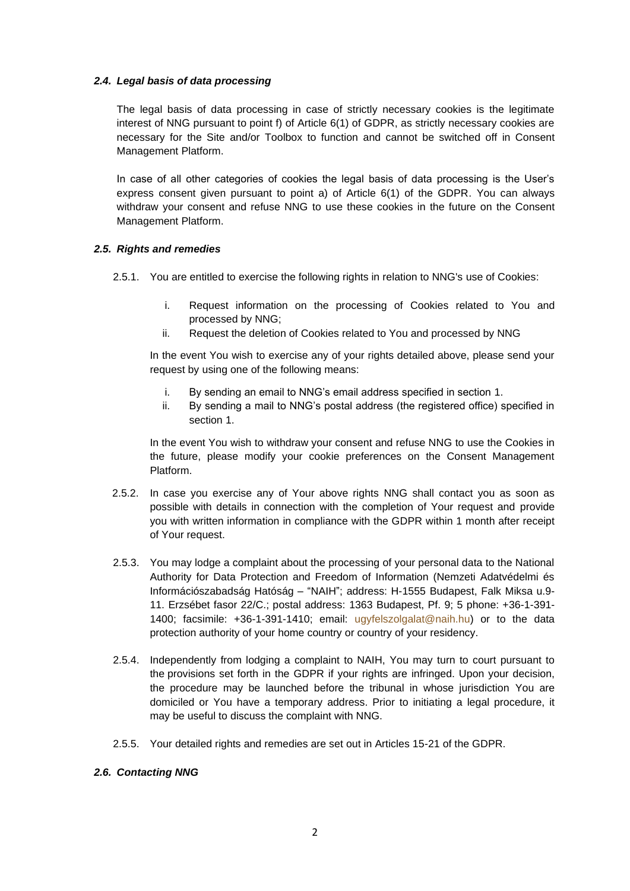## *2.4. Legal basis of data processing*

The legal basis of data processing in case of strictly necessary cookies is the legitimate interest of NNG pursuant to point f) of Article 6(1) of GDPR, as strictly necessary cookies are necessary for the Site and/or Toolbox to function and cannot be switched off in Consent Management Platform.

In case of all other categories of cookies the legal basis of data processing is the User's express consent given pursuant to point a) of Article 6(1) of the GDPR. You can always withdraw your consent and refuse NNG to use these cookies in the future on the Consent Management Platform.

## *2.5. Rights and remedies*

2.5.1. You are entitled to exercise the following rights in relation to NNG's use of Cookies:

- i. Request information on the processing of Cookies related to You and processed by NNG;
- ii. Request the deletion of Cookies related to You and processed by NNG

In the event You wish to exercise any of your rights detailed above, please send your request by using one of the following means:

- i. By sending an email to NNG's email address specified in section [1.](#page-0-0)
- ii. By sending a mail to NNG's postal address (the registered office) specified in section [1.](#page-0-0)

In the event You wish to withdraw your consent and refuse NNG to use the Cookies in the future, please modify your cookie preferences on the Consent Management Platform.

- 2.5.2. In case you exercise any of Your above rights NNG shall contact you as soon as possible with details in connection with the completion of Your request and provide you with written information in compliance with the GDPR within 1 month after receipt of Your request.
- 2.5.3. You may lodge a complaint about the processing of your personal data to the National Authority for Data Protection and Freedom of Information (Nemzeti Adatvédelmi és Információszabadság Hatóság – "NAIH"; address: H-1555 Budapest, Falk Miksa u.9- 11. Erzsébet fasor 22/C.; postal address: 1363 Budapest, Pf. 9; 5 phone: +36-1-391- 1400; facsimile: +36-1-391-1410; email: [ugyfelszolgalat@naih.hu\)](mailto:ugyfelszolgalat@naih.hu) or to the data protection authority of your home country or country of your residency.
- 2.5.4. Independently from lodging a complaint to NAIH, You may turn to court pursuant to the provisions set forth in the GDPR if your rights are infringed. Upon your decision, the procedure may be launched before the tribunal in whose jurisdiction You are domiciled or You have a temporary address. Prior to initiating a legal procedure, it may be useful to discuss the complaint with NNG.
- 2.5.5. Your detailed rights and remedies are set out in Articles 15-21 of the GDPR.

## *2.6. Contacting NNG*